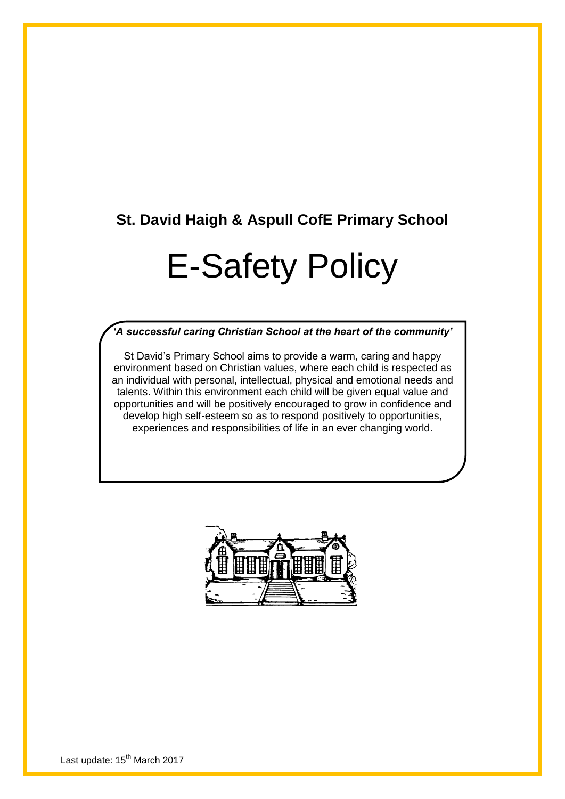## **St. David Haigh & Aspull CofE Primary School**

# E-Safety Policy

#### *'A successful caring Christian School at the heart of the community'*

St David's Primary School aims to provide a warm, caring and happy environment based on Christian values, where each child is respected as an individual with personal, intellectual, physical and emotional needs and talents. Within this environment each child will be given equal value and opportunities and will be positively encouraged to grow in confidence and develop high self-esteem so as to respond positively to opportunities, experiences and responsibilities of life in an ever changing world.

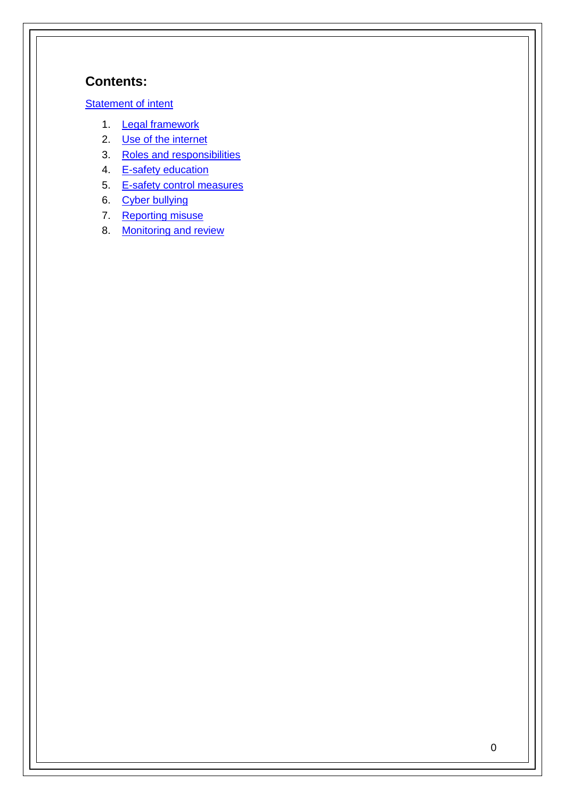## **Contents:**

#### **[Statement of intent](#page-2-0)**

- [1.](#page-2-0) [Legal framework](#page-2-0)
- 2. [Use of the internet](#page-3-0)
- 3. [Roles and responsibilities](#page-3-0)
- 4. [E-safety education](#page-5-0)
- 5. [E-safety control measures](#page-6-0)
- 6. [Cyber bullying](#page-9-0)
- 7. [Reporting misuse](#page-10-0)
- 8. [Monitoring and review](#page-11-0)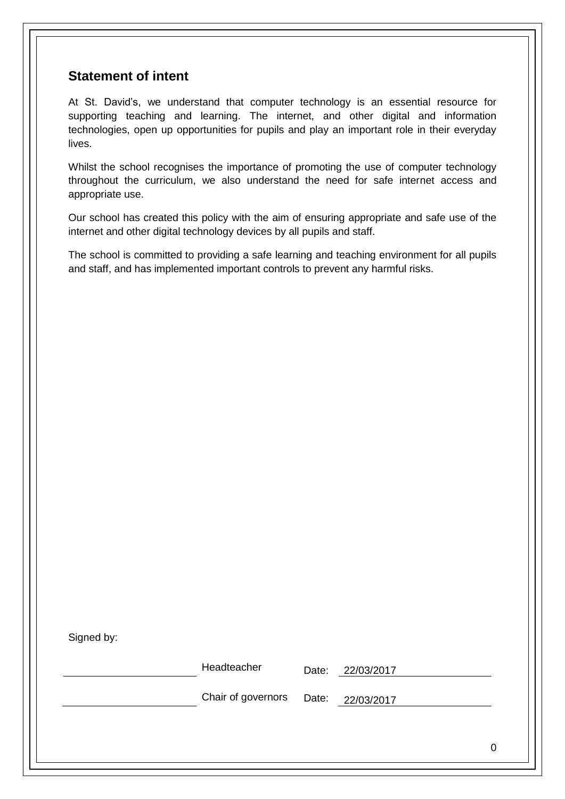## <span id="page-2-0"></span>**Statement of intent**

At St. David's, we understand that computer technology is an essential resource for supporting teaching and learning. The internet, and other digital and information technologies, open up opportunities for pupils and play an important role in their everyday lives.

Whilst the school recognises the importance of promoting the use of computer technology throughout the curriculum, we also understand the need for safe internet access and appropriate use.

Our school has created this policy with the aim of ensuring appropriate and safe use of the internet and other digital technology devices by all pupils and staff.

The school is committed to providing a safe learning and teaching environment for all pupils and staff, and has implemented important controls to prevent any harmful risks.

| Signed by: |            |
|------------|------------|
|            | Headteache |

 $H^{\text{F}}$  Date: 22/03/2017

Chair of governors Date: 22/03/2017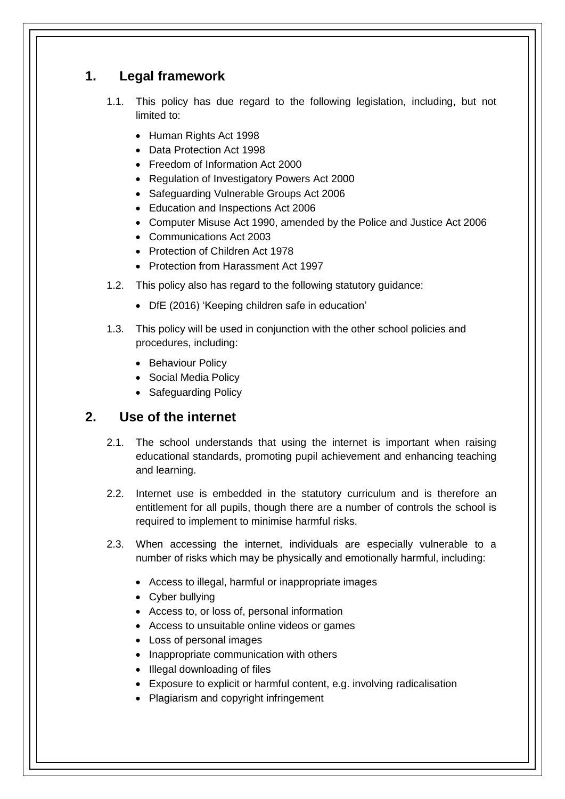## **1. Legal framework**

- 1.1. This policy has due regard to the following legislation, including, but not limited to:
	- Human Rights Act 1998
	- Data Protection Act 1998
	- Freedom of Information Act 2000
	- Regulation of Investigatory Powers Act 2000
	- Safeguarding Vulnerable Groups Act 2006
	- Education and Inspections Act 2006
	- Computer Misuse Act 1990, amended by the Police and Justice Act 2006
	- Communications Act 2003
	- Protection of Children Act 1978
	- Protection from Harassment Act 1997
- 1.2. This policy also has regard to the following statutory guidance:
	- DfE (2016) 'Keeping children safe in education'
- 1.3. This policy will be used in conjunction with the other school policies and procedures, including:
	- Behaviour Policy
	- Social Media Policy
	- Safeguarding Policy

## <span id="page-3-0"></span>**2. Use of the internet**

- 2.1. The school understands that using the internet is important when raising educational standards, promoting pupil achievement and enhancing teaching and learning.
- 2.2. Internet use is embedded in the statutory curriculum and is therefore an entitlement for all pupils, though there are a number of controls the school is required to implement to minimise harmful risks.
- 2.3. When accessing the internet, individuals are especially vulnerable to a number of risks which may be physically and emotionally harmful, including:
	- Access to illegal, harmful or inappropriate images
	- Cyber bullying
	- Access to, or loss of, personal information
	- Access to unsuitable online videos or games
	- Loss of personal images
	- Inappropriate communication with others
	- Illegal downloading of files
	- Exposure to explicit or harmful content, e.g. involving radicalisation
	- Plagiarism and copyright infringement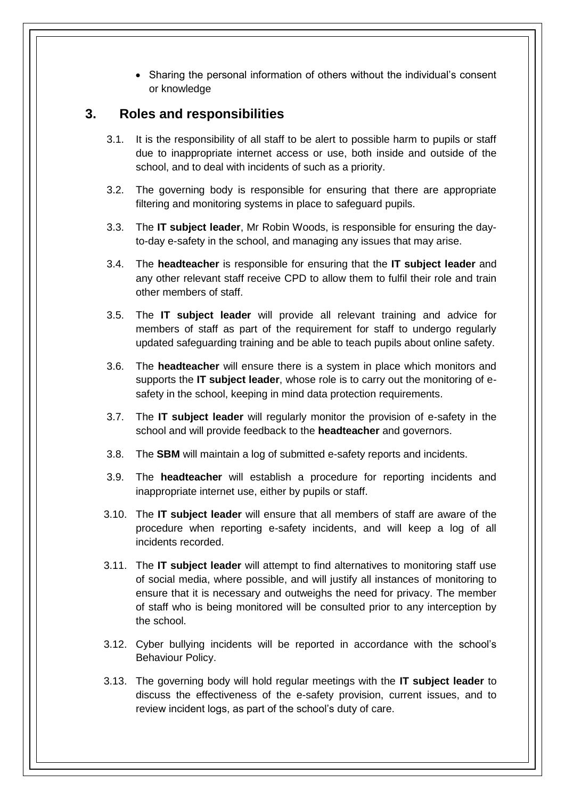Sharing the personal information of others without the individual's consent or knowledge

### **3. Roles and responsibilities**

- 3.1. It is the responsibility of all staff to be alert to possible harm to pupils or staff due to inappropriate internet access or use, both inside and outside of the school, and to deal with incidents of such as a priority.
- 3.2. The governing body is responsible for ensuring that there are appropriate filtering and monitoring systems in place to safeguard pupils.
- 3.3. The **IT subject leader**, Mr Robin Woods, is responsible for ensuring the dayto-day e-safety in the school, and managing any issues that may arise.
- 3.4. The **headteacher** is responsible for ensuring that the **IT subject leader** and any other relevant staff receive CPD to allow them to fulfil their role and train other members of staff.
- 3.5. The **IT subject leader** will provide all relevant training and advice for members of staff as part of the requirement for staff to undergo regularly updated safeguarding training and be able to teach pupils about online safety.
- 3.6. The **headteacher** will ensure there is a system in place which monitors and supports the **IT subject leader**, whose role is to carry out the monitoring of esafety in the school, keeping in mind data protection requirements.
- 3.7. The **IT subject leader** will regularly monitor the provision of e-safety in the school and will provide feedback to the **headteacher** and governors.
- 3.8. The **SBM** will maintain a log of submitted e-safety reports and incidents.
- 3.9. The **headteacher** will establish a procedure for reporting incidents and inappropriate internet use, either by pupils or staff.
- 3.10. The **IT subject leader** will ensure that all members of staff are aware of the procedure when reporting e-safety incidents, and will keep a log of all incidents recorded.
- 3.11. The **IT subject leader** will attempt to find alternatives to monitoring staff use of social media, where possible, and will justify all instances of monitoring to ensure that it is necessary and outweighs the need for privacy. The member of staff who is being monitored will be consulted prior to any interception by the school.
- 3.12. Cyber bullying incidents will be reported in accordance with the school's Behaviour Policy.
- 3.13. The governing body will hold regular meetings with the **IT subject leader** to discuss the effectiveness of the e-safety provision, current issues, and to review incident logs, as part of the school's duty of care.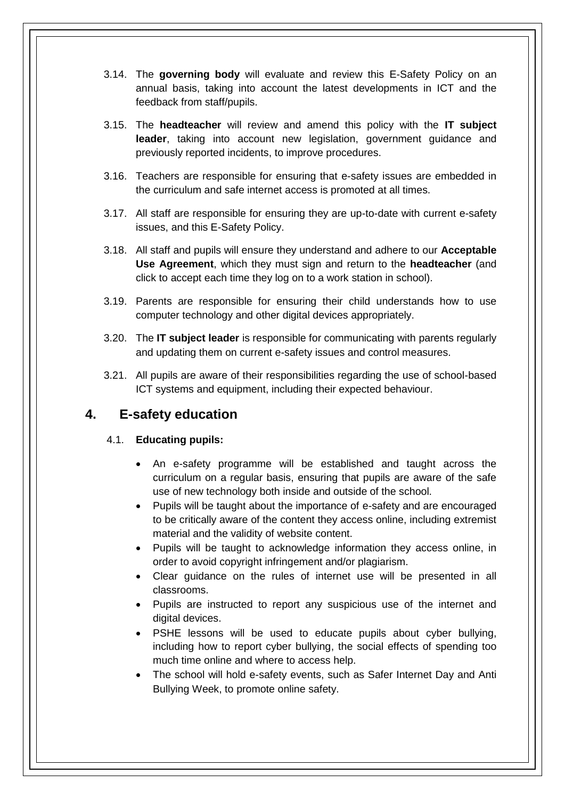- 3.14. The **governing body** will evaluate and review this E-Safety Policy on an annual basis, taking into account the latest developments in ICT and the feedback from staff/pupils.
- 3.15. The **headteacher** will review and amend this policy with the **IT subject leader**, taking into account new legislation, government guidance and previously reported incidents, to improve procedures.
- 3.16. Teachers are responsible for ensuring that e-safety issues are embedded in the curriculum and safe internet access is promoted at all times.
- 3.17. All staff are responsible for ensuring they are up-to-date with current e-safety issues, and this E-Safety Policy.
- 3.18. All staff and pupils will ensure they understand and adhere to our **Acceptable Use Agreement**, which they must sign and return to the **headteacher** (and click to accept each time they log on to a work station in school).
- 3.19. Parents are responsible for ensuring their child understands how to use computer technology and other digital devices appropriately.
- 3.20. The **IT subject leader** is responsible for communicating with parents regularly and updating them on current e-safety issues and control measures.
- 3.21. All pupils are aware of their responsibilities regarding the use of school-based ICT systems and equipment, including their expected behaviour.

## <span id="page-5-0"></span>**4. E-safety education**

#### 4.1. **Educating pupils:**

- An e-safety programme will be established and taught across the curriculum on a regular basis, ensuring that pupils are aware of the safe use of new technology both inside and outside of the school.
- Pupils will be taught about the importance of e-safety and are encouraged to be critically aware of the content they access online, including extremist material and the validity of website content.
- Pupils will be taught to acknowledge information they access online, in order to avoid copyright infringement and/or plagiarism.
- Clear guidance on the rules of internet use will be presented in all classrooms.
- Pupils are instructed to report any suspicious use of the internet and digital devices.
- PSHE lessons will be used to educate pupils about cyber bullying, including how to report cyber bullying, the social effects of spending too much time online and where to access help.
- The school will hold e-safety events, such as Safer Internet Day and Anti Bullying Week, to promote online safety.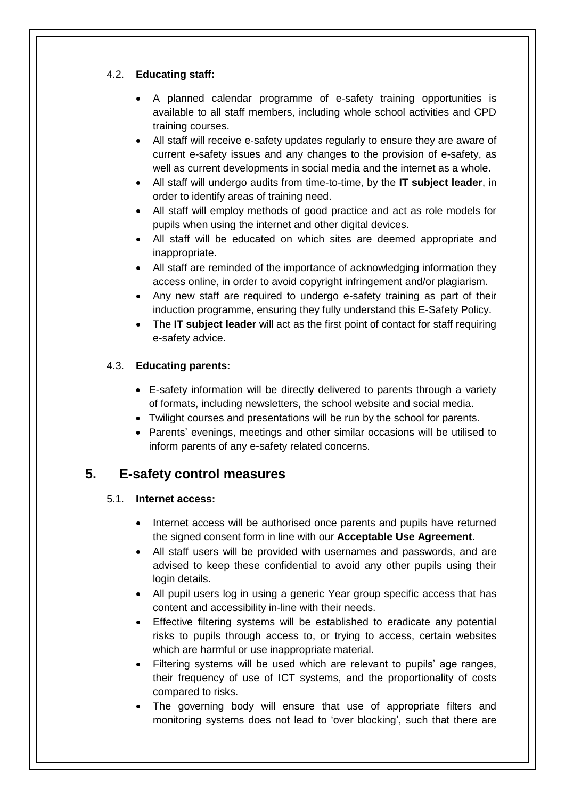#### 4.2. **Educating staff:**

- A planned calendar programme of e-safety training opportunities is available to all staff members, including whole school activities and CPD training courses.
- All staff will receive e-safety updates regularly to ensure they are aware of current e-safety issues and any changes to the provision of e-safety, as well as current developments in social media and the internet as a whole.
- All staff will undergo audits from time-to-time, by the **IT subject leader**, in order to identify areas of training need.
- All staff will employ methods of good practice and act as role models for pupils when using the internet and other digital devices.
- All staff will be educated on which sites are deemed appropriate and inappropriate.
- All staff are reminded of the importance of acknowledging information they access online, in order to avoid copyright infringement and/or plagiarism.
- Any new staff are required to undergo e-safety training as part of their induction programme, ensuring they fully understand this E-Safety Policy.
- The **IT subject leader** will act as the first point of contact for staff requiring e-safety advice.

#### 4.3. **Educating parents:**

- E-safety information will be directly delivered to parents through a variety of formats, including newsletters, the school website and social media.
- Twilight courses and presentations will be run by the school for parents.
- Parents' evenings, meetings and other similar occasions will be utilised to inform parents of any e-safety related concerns.

## <span id="page-6-0"></span>**5. E-safety control measures**

#### 5.1. **Internet access:**

- Internet access will be authorised once parents and pupils have returned the signed consent form in line with our **Acceptable Use Agreement**.
- All staff users will be provided with usernames and passwords, and are advised to keep these confidential to avoid any other pupils using their login details.
- All pupil users log in using a generic Year group specific access that has content and accessibility in-line with their needs.
- Effective filtering systems will be established to eradicate any potential risks to pupils through access to, or trying to access, certain websites which are harmful or use inappropriate material.
- Filtering systems will be used which are relevant to pupils' age ranges, their frequency of use of ICT systems, and the proportionality of costs compared to risks.
- The governing body will ensure that use of appropriate filters and monitoring systems does not lead to 'over blocking', such that there are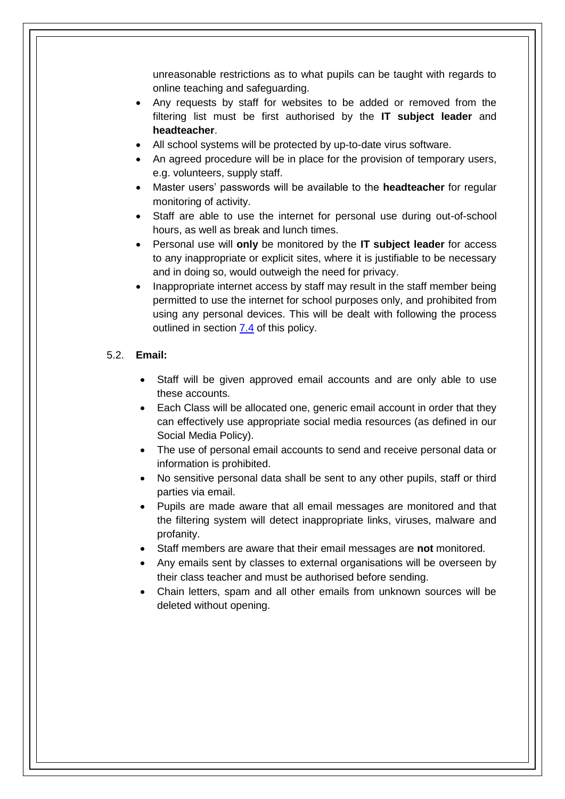unreasonable restrictions as to what pupils can be taught with regards to online teaching and safeguarding.

- Any requests by staff for websites to be added or removed from the filtering list must be first authorised by the **IT subject leader** and **headteacher**.
- All school systems will be protected by up-to-date virus software.
- An agreed procedure will be in place for the provision of temporary users, e.g. volunteers, supply staff.
- Master users' passwords will be available to the **headteacher** for regular monitoring of activity.
- Staff are able to use the internet for personal use during out-of-school hours, as well as break and lunch times.
- Personal use will **only** be monitored by the **IT subject leader** for access to any inappropriate or explicit sites, where it is justifiable to be necessary and in doing so, would outweigh the need for privacy.
- Inappropriate internet access by staff may result in the staff member being permitted to use the internet for school purposes only, and prohibited from using any personal devices. This will be dealt with following the process outlined in section [7.4](#page-11-1) of this policy.

#### 5.2. **Email:**

- Staff will be given approved email accounts and are only able to use these accounts.
- Each Class will be allocated one, generic email account in order that they can effectively use appropriate social media resources (as defined in our Social Media Policy).
- The use of personal email accounts to send and receive personal data or information is prohibited.
- No sensitive personal data shall be sent to any other pupils, staff or third parties via email.
- Pupils are made aware that all email messages are monitored and that the filtering system will detect inappropriate links, viruses, malware and profanity.
- Staff members are aware that their email messages are **not** monitored.
- Any emails sent by classes to external organisations will be overseen by their class teacher and must be authorised before sending.
- Chain letters, spam and all other emails from unknown sources will be deleted without opening.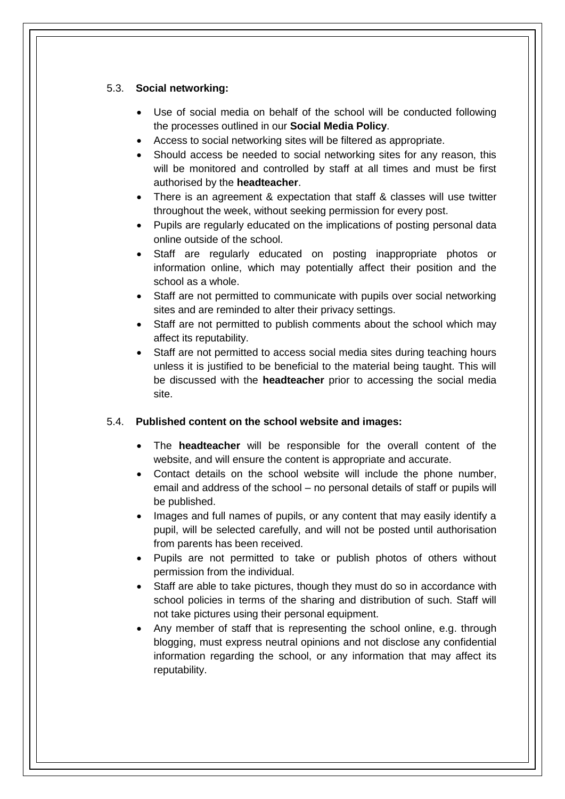#### 5.3. **Social networking:**

- Use of social media on behalf of the school will be conducted following the processes outlined in our **Social Media Policy**.
- Access to social networking sites will be filtered as appropriate.
- Should access be needed to social networking sites for any reason, this will be monitored and controlled by staff at all times and must be first authorised by the **headteacher**.
- There is an agreement & expectation that staff & classes will use twitter throughout the week, without seeking permission for every post.
- Pupils are regularly educated on the implications of posting personal data online outside of the school.
- Staff are regularly educated on posting inappropriate photos or information online, which may potentially affect their position and the school as a whole.
- Staff are not permitted to communicate with pupils over social networking sites and are reminded to alter their privacy settings.
- Staff are not permitted to publish comments about the school which may affect its reputability.
- Staff are not permitted to access social media sites during teaching hours unless it is justified to be beneficial to the material being taught. This will be discussed with the **headteacher** prior to accessing the social media site.

#### 5.4. **Published content on the school website and images:**

- The **headteacher** will be responsible for the overall content of the website, and will ensure the content is appropriate and accurate.
- Contact details on the school website will include the phone number, email and address of the school – no personal details of staff or pupils will be published.
- Images and full names of pupils, or any content that may easily identify a pupil, will be selected carefully, and will not be posted until authorisation from parents has been received.
- Pupils are not permitted to take or publish photos of others without permission from the individual.
- Staff are able to take pictures, though they must do so in accordance with school policies in terms of the sharing and distribution of such. Staff will not take pictures using their personal equipment.
- Any member of staff that is representing the school online, e.g. through blogging, must express neutral opinions and not disclose any confidential information regarding the school, or any information that may affect its reputability.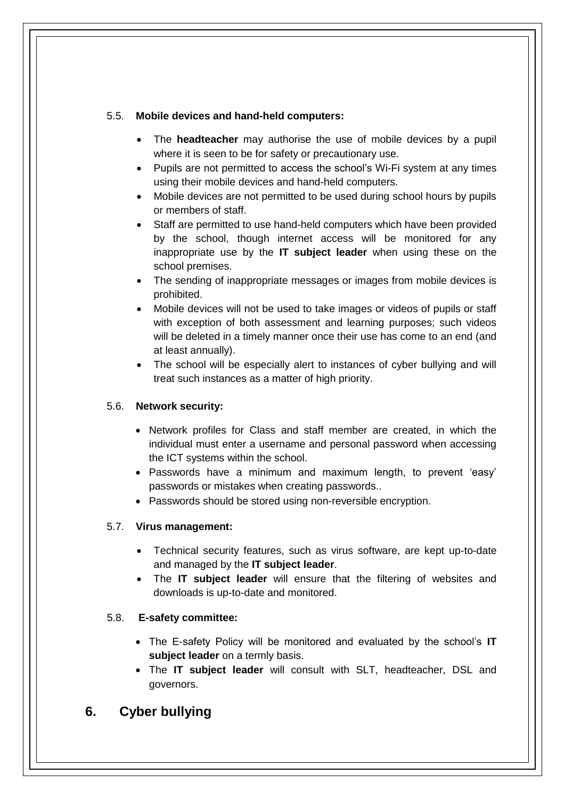#### 5.5. **Mobile devices and hand-held computers:**

- The **headteacher** may authorise the use of mobile devices by a pupil where it is seen to be for safety or precautionary use.
- Pupils are not permitted to access the school's Wi-Fi system at any times using their mobile devices and hand-held computers.
- Mobile devices are not permitted to be used during school hours by pupils or members of staff.
- Staff are permitted to use hand-held computers which have been provided by the school, though internet access will be monitored for any inappropriate use by the **IT subject leader** when using these on the school premises.
- The sending of inappropriate messages or images from mobile devices is prohibited.
- Mobile devices will not be used to take images or videos of pupils or staff with exception of both assessment and learning purposes; such videos will be deleted in a timely manner once their use has come to an end (and at least annually).
- The school will be especially alert to instances of cyber bullying and will treat such instances as a matter of high priority.

#### 5.6. **Network security:**

- Network profiles for Class and staff member are created, in which the individual must enter a username and personal password when accessing the ICT systems within the school.
- Passwords have a minimum and maximum length, to prevent 'easy' passwords or mistakes when creating passwords..
- Passwords should be stored using non-reversible encryption.

#### 5.7. **Virus management:**

- Technical security features, such as virus software, are kept up-to-date and managed by the **IT subject leader**.
- The **IT subject leader** will ensure that the filtering of websites and downloads is up-to-date and monitored.

#### 5.8. **E-safety committee:**

- The E-safety Policy will be monitored and evaluated by the school's **IT subject leader** on a termly basis.
- The **IT subject leader** will consult with SLT, headteacher, DSL and governors.

## <span id="page-9-0"></span>**6. Cyber bullying**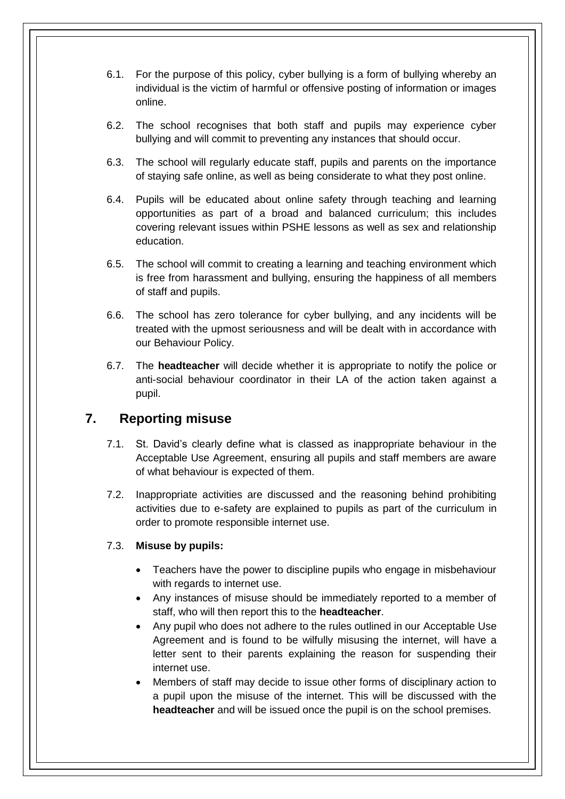- 6.1. For the purpose of this policy, cyber bullying is a form of bullying whereby an individual is the victim of harmful or offensive posting of information or images online.
- 6.2. The school recognises that both staff and pupils may experience cyber bullying and will commit to preventing any instances that should occur.
- 6.3. The school will regularly educate staff, pupils and parents on the importance of staying safe online, as well as being considerate to what they post online.
- 6.4. Pupils will be educated about online safety through teaching and learning opportunities as part of a broad and balanced curriculum; this includes covering relevant issues within PSHE lessons as well as sex and relationship education.
- 6.5. The school will commit to creating a learning and teaching environment which is free from harassment and bullying, ensuring the happiness of all members of staff and pupils.
- 6.6. The school has zero tolerance for cyber bullying, and any incidents will be treated with the upmost seriousness and will be dealt with in accordance with our Behaviour Policy.
- 6.7. The **headteacher** will decide whether it is appropriate to notify the police or anti-social behaviour coordinator in their LA of the action taken against a pupil.

## <span id="page-10-0"></span>**7. Reporting misuse**

- 7.1. St. David's clearly define what is classed as inappropriate behaviour in the Acceptable Use Agreement, ensuring all pupils and staff members are aware of what behaviour is expected of them.
- 7.2. Inappropriate activities are discussed and the reasoning behind prohibiting activities due to e-safety are explained to pupils as part of the curriculum in order to promote responsible internet use.

#### 7.3. **Misuse by pupils:**

- Teachers have the power to discipline pupils who engage in misbehaviour with regards to internet use.
- Any instances of misuse should be immediately reported to a member of staff, who will then report this to the **headteacher**.
- Any pupil who does not adhere to the rules outlined in our Acceptable Use Agreement and is found to be wilfully misusing the internet, will have a letter sent to their parents explaining the reason for suspending their internet use.
- Members of staff may decide to issue other forms of disciplinary action to a pupil upon the misuse of the internet. This will be discussed with the **headteacher** and will be issued once the pupil is on the school premises.